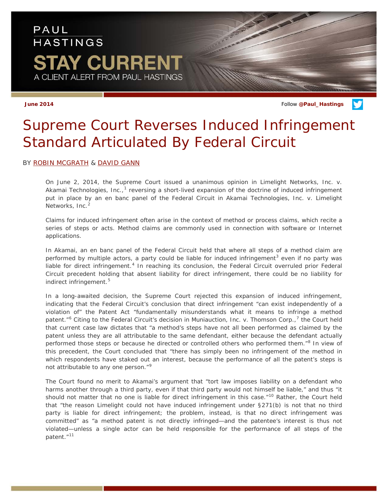## PAUL **HASTINGS** TAY CURRENT A CLIENT ALERT FROM PAUL HASTINGS

**June 2014** Follow **[@Paul\\_Hastings](http://twitter.com/Paul_Hastings)**

## *Supreme Court Reverses Induced Infringement Standard Articulated By Federal Circuit*

## BY [ROBIN MCGRATH](http://paulhastings.com/Professionals/details/robinmcgrath/) & [DAVID GANN](http://paulhastings.com/Professionals/details/davidgann/)

On June 2, 2014, the Supreme Court issued a unanimous opinion in *Limelight Networks, Inc. v.*  Akamai Technologies, Inc.,<sup>[1](#page-1-0)</sup> reversing a short-lived expansion of the doctrine of induced infringement put in place by an en banc panel of the Federal Circuit in *Akamai Technologies, Inc. v. Limelight Networks, Inc.[2](#page-1-1)*

Claims for induced infringement often arise in the context of method or process claims, which recite a series of steps or acts. Method claims are commonly used in connection with software or Internet applications.

In *Akama*i, an en banc panel of the Federal Circuit held that where all steps of a method claim are performed by multiple actors, a party could be liable for induced infringement<sup>[3](#page-1-2)</sup> even if no party was liable for direct infringement.<sup>[4](#page-1-3)</sup> In reaching its conclusion, the Federal Circuit overruled prior Federal Circuit precedent holding that absent liability for direct infringement, there could be no liability for indirect infringement.<sup>[5](#page-1-4)</sup>

In a long-awaited decision, the Supreme Court rejected this expansion of induced infringement, indicating that the Federal Circuit's conclusion that direct infringement "can exist independently of a violation of" the Patent Act "fundamentally misunderstands what it means to infringe a method patent."<sup>[6](#page-1-5)</sup> Citing to the Federal Circuit's decision in *Muniauction, Inc. v. Thomson Corp.*,<sup>[7](#page-1-6)</sup> the Court held that current case law dictates that "a method's steps have not all been performed as claimed by the patent unless they are all attributable to the same defendant, either because the defendant actually performed those steps or because he directed or controlled others who performed them."<sup>[8](#page-1-7)</sup> In view of this precedent, the Court concluded that "there has simply been no infringement of the method in which respondents have staked out an interest, because the performance of all the patent's steps is not attributable to any one person."<sup>[9](#page-1-8)</sup>

The Court found no merit to Akamai's argument that "tort law imposes liability on a defendant who harms another through a third party, even if that third party would not himself be liable," and thus "it should not matter that no one is liable for direct infringement in this case."<sup>[10](#page-1-9)</sup> Rather, the Court held that "the reason Limelight could not have induced infringement under §271(b) is not that no third party is liable for direct infringement; the problem, instead, is that no direct infringement was *committed*" as "a method patent is not directly infringed—and the patentee's interest is thus not violated—unless a single actor can be held responsible for the performance of all steps of the patent."[11](#page-1-10)